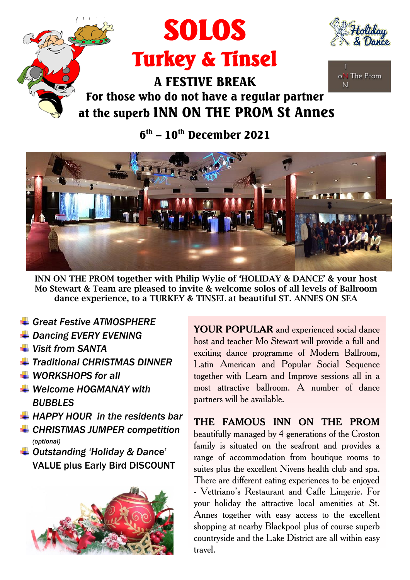





## For those who do not have a regular partner at the superb INN ON THE PROM St Annes

 $6^{\text{th}}$  –  $10^{\text{th}}$  December 2021



**INN ON THE PROM together with Philip Wylie of 'HOLIDAY & DANCE' & your host Mo Stewart & Team are pleased to invite & welcome solos of all levels of Ballroom dance experience, to a TURKEY & TINSEL at beautiful ST. ANNES ON SEA**

travel.

- *Great Festive ATMOSPHERE*
- *Dancing EVERY EVENING*
- *Visit from SANTA*
- *Traditional CHRISTMAS DINNER*
- *WORKSHOPS for all*
- *Welcome HOGMANAY with BUBBLES*
- *HAPPY HOUR in the residents bar*
- *CHRISTMAS JUMPER competition (optional)*
- *Outstanding 'Holiday & Danc*e' VALUE plus Early Bird DISCOUNT



**YOUR POPULAR** and experienced social dance host and teacher Mo Stewart will provide a full and exciting dance programme of Modern Ballroom, Latin American and Popular Social Sequence together with Learn and Improve sessions all in a most attractive ballroom. A number of dance partners will be available.

**THE FAMOUS INN ON THE PROM** beautifully managed by 4 generations of the Croston family is situated on the seafront and provides a range of accommodation from boutique rooms to suites plus the excellent Nivens health club and spa. There are different eating experiences to be enjoyed - Vettriano's Restaurant and Caffe Lingerie. For your holiday the attractive local amenities at St. Annes together with easy access to the excellent shopping at nearby Blackpool plus of course superb

countryside and the Lake District are all within easy